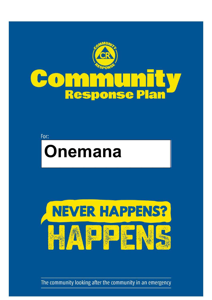

### $\sqrt{}$  $\bigcirc$ Pla Res ISE  $\sqrt{1}$  $\sqrt{1}$

For:





The community looking after the community in an emergency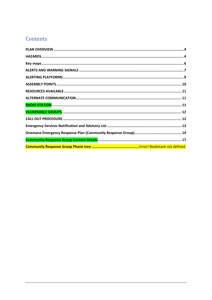# Contents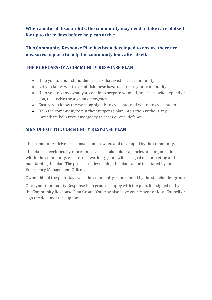**When a natural disaster hits, the community may need to take care of itself for up to three days before help can arrive.** 

## **This Community Response Plan has been developed to ensure there are measures in place to help the community look after itself.**

## **THE PURPOSES OF A COMMUNITY RESPONSE PLAN**

- Help you to understand the hazards that exist in the community
- Let you know what level of risk these hazards pose to your community
- Help you to know what you can do to prepare yourself, and those who depend on you, to survive through an emergency
- Ensure you know the warning signals to evacuate, and where to evacuate to
- Help the community to put their response plan into action without any immediate help from emergency services or civil defence.

## **SIGN OFF OF THE COMMUNITY RESPONSE PLAN**

This community-driven response plan is owned and developed by the community.

The plan is developed by representatives of stakeholder agencies and organisations within the community, who form a working group with the goal of completing and maintaining the plan. The process of developing the plan can be facilitated by an Emergency Management Officer.

Ownership of the plan stays with the community, represented by the stakeholder group.

Once your Community Response Plan group is happy with the plan, it is signed off by the Community Response Plan Group. You may also have your Mayor or local Councillor sign the document in support.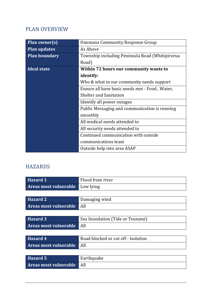## PLAN OVERVIEW

| <b>Plan owner(s)</b> | Onemana Community Response Group                |
|----------------------|-------------------------------------------------|
| <b>Plan updates</b>  | As Above                                        |
| <b>Plan boundary</b> | Township including Peninsula Road (Whitipirorua |
|                      | Road)                                           |
| Ideal state          | Within 72 hours our community wants to          |
|                      | identify:                                       |
|                      | Who & what in our community needs support       |
|                      | Ensure all have basic needs met - Food, Water,  |
|                      | <b>Shelter and Sanitation</b>                   |
|                      | Identify all power outages                      |
|                      | Public Messaging and communication is running   |
|                      | smoothly                                        |
|                      | All medical needs attended to                   |
|                      | All security needs attended to                  |
|                      | Continued communication with outside            |
|                      | communications team                             |
|                      | Outside help into area ASAP                     |

# **HAZARDS**

| <b>Hazard 1</b>       | Flood from river                    |
|-----------------------|-------------------------------------|
| Areas most vulnerable | Low lying                           |
|                       |                                     |
| Hazard 2              | Damaging wind                       |
| Areas most vulnerable | All                                 |
|                       |                                     |
| Hazard 3              | Sea Inundation (Tide or Tsunami)    |
| Areas most vulnerable | All                                 |
|                       |                                     |
| <b>Hazard 4</b>       | Road blocked or cut off - Isolation |
| Areas most vulnerable | All                                 |
|                       |                                     |
| Hazard 5              | Earthquake                          |
| Areas most vulnerable | All                                 |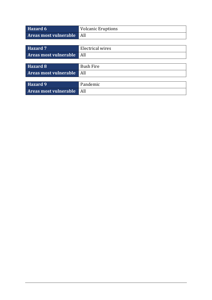| Hazard 6              | <b>Volcanic Eruptions</b> |
|-----------------------|---------------------------|
| Areas most vulnerable | All                       |
|                       |                           |
| Hazard 7              | <b>Electrical wires</b>   |
| Areas most vulnerable | All                       |
|                       |                           |
| Hazard 8              | <b>Bush Fire</b>          |
| Areas most vulnerable | All                       |
|                       |                           |
| Hazard 9              | Pandemic                  |
| Areas most vulnerable | All                       |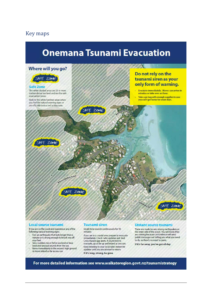## **Key maps**



#### **Local source tsunami**

If you are on the coast and experience any of the following natural warning signs:

- Feel an earthquake that lasts longer than a × minute or is strong enough to knock you off your feet
- See a sudden rise or fall in sea level or hear
- loud and unusual sounds from the sea<br>Move immediately to the nearest high ground
- or move inland as far as you can

#### **Tsunami siren**

Single tone sounds continuously for 10 minutes

If you are in a coastal area prepare to evacuate immediately. Check radio updates and Red Cross Hazard app alerts. If you're told to evacuate, go as far up and inland as you can. Keep listening to your local radio station for<br>updates until you are advised to return. If it's long, strong, be gone

#### **Distant source tsunami**

These are made by very strong earthquakes on the other side of the ocean. You will know they are coming because Civil Defence will send public messages out telling you what you need to do, so there's no need to panic

If it's far away, you've got all day

For more detailed information see www.waikatoregion.govt.nz/tsunamistrategy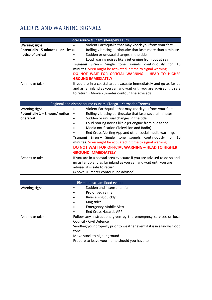# ALERTS AND WARNING SIGNALS

|                                 |  | Local source tsunami (Kerepehi Fault)                                  |
|---------------------------------|--|------------------------------------------------------------------------|
| <b>Warning signs</b>            |  | Violent Earthquake that may knock you from your feet                   |
| Potentially 15 minutes or less- |  | Rolling vibrating earthquake that lasts more than a minute             |
| notice of arrival               |  | Sudden or unusual changes in the tide                                  |
|                                 |  | Loud roaring noises like a jet engine from out at sea                  |
|                                 |  | <b>Tsunami Siren</b> - Single tone sounds continuously for<br>-10      |
|                                 |  | minutes. Siren might be activated in time to signal warning.           |
|                                 |  | DO NOT WAIT FOR OFFICIAL WARNING - HEAD TO HIGHER                      |
|                                 |  | <b>GROUND IMMEDIATELY</b>                                              |
| Actions to take                 |  | If you are in a coastal area evacuate immediately and go as far up     |
|                                 |  | and as far inland as you can and wait until you are advised it is safe |
|                                 |  | to return. (Above 20-meter contour line advised)                       |

|                                   | Regional and distant source tsunami (Tonga - Kermadec Trench)         |
|-----------------------------------|-----------------------------------------------------------------------|
| <b>Warning signs</b>              | Violent Earthquake that may knock you from your feet                  |
| Potentially $1 - 3$ hours' notice | Rolling vibrating earthquake that lasts several minutes               |
| of arrival                        | Sudden or unusual changes in the tide                                 |
|                                   | Loud roaring noises like a jet engine from out at sea                 |
|                                   | Media notification (Television and Radio)                             |
|                                   | Red Cross Alerting App and other social media warnings                |
|                                   | Tsunami Siren- Single tone sounds continuously for<br>-10             |
|                                   | minutes. Siren might be activated in time to signal warning.          |
|                                   | <b>DO NOT WAIT FOR OFFICIAL WARNING - HEAD TO HIGHER</b>              |
|                                   | <b>GROUND IMMEDIATELY</b>                                             |
| Actions to take                   | If you are in a coastal area evacuate if you are advised to do so and |
|                                   | go as far up and as far inland as you can and wait until you are      |
|                                   | advised it is safe to return.                                         |
|                                   | (Above 20-meter contour line advised)                                 |

|                      | River and stream flood events                                          |
|----------------------|------------------------------------------------------------------------|
| <b>Warning signs</b> | Sudden and intense rainfall                                            |
|                      | Prolonged rainfall                                                     |
|                      | River rising quickly                                                   |
|                      | King tides                                                             |
|                      | <b>Emergency Mobile Alert</b>                                          |
|                      | <b>Red Cross Hazards APP</b>                                           |
| Actions to take      | Follow any instructions given by the emergency services or local       |
|                      | Council / Civil Defence                                                |
|                      | Sandbag your property prior to weather event if it is in a knows flood |
|                      | zone                                                                   |
|                      | Move stock to higher ground                                            |
|                      | Prepare to leave your home should you have to                          |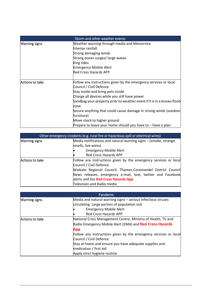|                 | Storm and other weather events                                         |
|-----------------|------------------------------------------------------------------------|
| Warning signs   | Weather warning through media and Metservice                           |
|                 | Intense rainfall                                                       |
|                 | Strong damaging winds                                                  |
|                 | Strong ocean surges/large waves                                        |
|                 | King tides                                                             |
|                 | <b>Emergency Mobile Alert</b>                                          |
|                 | Red Cross Hazards APP                                                  |
| Actions to take | Follow any instructions given by the emergency services or local       |
|                 | Council / Civil Defence                                                |
|                 | Stay inside and bring pets inside                                      |
|                 | Charge all devices while you still have power                          |
|                 | Sandbag your property prior to weather event if it is in a knows flood |
|                 | zone                                                                   |
|                 | Secure anything that could cause damage in strong winds (outdoor       |
|                 | furniture)                                                             |
|                 | Move stock to higher ground                                            |
|                 | Prepare to leave your home should you have to – have a plan            |

|                      | Other emergency incidents (e.g. rural fire or hazardous spill or electrical wires) |
|----------------------|------------------------------------------------------------------------------------|
| <b>Warning signs</b> | Media notifications and natural warning signs – (smoke, strange                    |
|                      | smells, live wires)                                                                |
|                      | <b>Emergency Mobile Alert</b>                                                      |
|                      | <b>Red Cross Hazards APP</b>                                                       |
| Actions to take      | Follow any instructions given by the emergency services or local                   |
|                      | Council / Civil Defence                                                            |
|                      | Waikato Regional Council, Thames-Coromandel District Council                       |
|                      | News releases, emergency e-mail, text, twitter and Facebook                        |
|                      | alerts and the Red Cross Hazards App                                               |
|                      | Television and Radio media                                                         |

|                      | Pandemic                                                         |
|----------------------|------------------------------------------------------------------|
| <b>Warning signs</b> | Media and natural warning signs - serious infectious viruses     |
|                      | circulating. Large portion of population sick                    |
|                      | <b>Emergency Mobile Alert</b>                                    |
|                      | <b>Red Cross Hazards APP</b>                                     |
| Actions to take      | National Crisis Management Centre, Ministry of Health, TV and    |
|                      | Radio Emergency Mobile Alert (EMA) and Red Cross Hazards         |
|                      | App                                                              |
|                      | Follow any instructions given by the emergency services or local |
|                      | Council / Civil Defence                                          |
|                      | Stay at home and ensure you have adequate supplies and           |
|                      | medication / first aid                                           |
|                      | Apply strict hygiene routine                                     |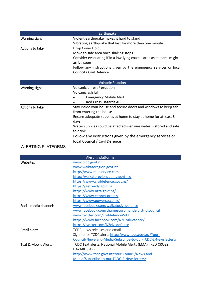|                      | Earthquake                                                          |
|----------------------|---------------------------------------------------------------------|
| <b>Warning signs</b> | Violent earthquake makes it hard to stand                           |
|                      | Vibrating earthquake that last for more than one minute             |
| Actions to take      | Drop Cover Hold                                                     |
|                      | Move to safe area once shaking stops                                |
|                      | Consider evacuating if in a low-lying coastal area as tsunami might |
|                      | arrive soon                                                         |
|                      | Follow any instructions given by the emergency services or local    |
|                      | Council / Civil Defence                                             |

|                      | <b>Volcanic Eruption</b>                                           |
|----------------------|--------------------------------------------------------------------|
| <b>Warning signs</b> | Volcanic unrest / eruption                                         |
|                      | Volcanic ash fall                                                  |
|                      | <b>Emergency Mobile Alert</b>                                      |
|                      | <b>Red Cross Hazards APP</b>                                       |
| Actions to take      | Stay inside your house and secure doors and windows to keep ash    |
|                      | from entering the house                                            |
|                      | Ensure adequate supplies at home to stay at home for at least 3    |
|                      | days                                                               |
|                      | Water supplies could be affected – ensure water is stored and safe |
|                      | to drink                                                           |
|                      | Follow any instructions given by the emergency services or         |
|                      | local Council / Civil Defence                                      |

### ALERTING PLATFORMS

| Alerting platforms     |                                                             |  |
|------------------------|-------------------------------------------------------------|--|
| Websites               | www.tcdc.govt.nz                                            |  |
|                        | www.waikatoregion.govt.nz                                   |  |
|                        | http://www.metservice.com                                   |  |
|                        | http://waikatoregioncdemg.govt.nz/                          |  |
|                        | https://www.civildefence.govt.nz/                           |  |
|                        | https://getready.govt.nz                                    |  |
|                        | https://www.nzta.govt.nz/                                   |  |
|                        | https://www.geonet.org.nz/                                  |  |
|                        | https://www.powerco.co.nz/                                  |  |
| lSocial media channels | www.facebook.com/waikatocivildefence                        |  |
|                        | www.facebook.com/thamescoromandeldistrictcouncil            |  |
|                        | www.twitter.com/civildefenceWKT                             |  |
|                        | https://www.facebook.com/NZCivilDefence/                    |  |
|                        | https://twitter.com/NZcivildefence                          |  |
| Email alerts           | TCDC news releases and emails                               |  |
|                        | Sign up for TCDC alerts http://www.tcdc.govt.nz/Your-       |  |
|                        | Council/News-and-Media/Subscribe-to-our-TCDC-E-Newsletters/ |  |
| lText & Mobile Alerts  | TCDC Text alerts, National Mobile Alerts (EMA), RED CROSS   |  |
|                        | <b>HAZARDS APP</b>                                          |  |
|                        | http://www.tcdc.govt.nz/Your-Council/News-and-              |  |
|                        | Media/Subscribe-to-our-TCDC-E-Newsletters/                  |  |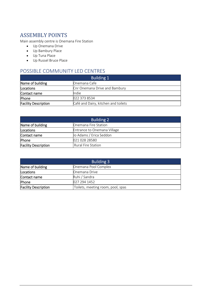# ASSEMBLY POINTS

Main assembly centre is Onemana Fire Station

- Up Onemana Drive
- Up Bambury Place
- Up Tuna Place
- Up Russel Bruce Place

## POSSIBLE COMMUNITY LED CENTRES

| <b>Building 1</b>           |                                     |  |
|-----------------------------|-------------------------------------|--|
| Name of building            | Onemana Cafe                        |  |
| <b>Locations</b>            | Cnr Onemana Drive and Bambury       |  |
| Contact name                | Indie                               |  |
| Phone                       | 022 373 8534                        |  |
| <b>Facility Description</b> | Café and Dairy, kitchen and toilets |  |

| <b>Building 2</b>           |                             |  |
|-----------------------------|-----------------------------|--|
| Name of building            | Onemana Fire Station        |  |
| Locations                   | Entrance to Onemana Village |  |
| Contact name                | Jo Adams / Erica Seddon     |  |
| Phone                       | 021 028 28580               |  |
| <b>Facility Description</b> | <b>Rural Fire Station</b>   |  |

| <b>Building 3</b>           |                                   |
|-----------------------------|-----------------------------------|
| Name of building            | Onemana Pool Complex              |
| Locations                   | Onemana Drive                     |
| Contact name                | Ruhi / Sandra                     |
| Phone                       | 027 294 1452                      |
| <b>Facility Description</b> | Toilets, meeting room, pool, spas |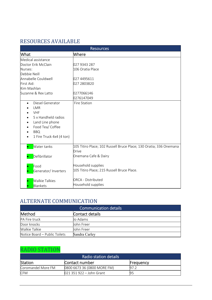# RESOURCES AVAILABLE

| <b>Resources</b>                                                                                                                                                |                                                                                                            |  |
|-----------------------------------------------------------------------------------------------------------------------------------------------------------------|------------------------------------------------------------------------------------------------------------|--|
| What                                                                                                                                                            | Where                                                                                                      |  |
| Medical assistance<br>Doctor Erik McClain<br>Nurses:<br>Debbie Neill                                                                                            | 027 9343 287<br>106 Oratia Place                                                                           |  |
| Annabelle Couldwell<br>First Aid:<br>Kim Mashlan                                                                                                                | 027 4495611<br>027 2803820                                                                                 |  |
| Suzanne & Rex Latto                                                                                                                                             | 0277066146<br>0276147049                                                                                   |  |
| Diesel Generator<br>$\bullet$<br>LMR<br><b>VHF</b><br>5 x Handheld radios<br>Land Line phone<br>٠<br>Food Tea/ Coffee<br><b>BBQ</b><br>1 Fire Truck 4x4 (4 ton) | Fire Station                                                                                               |  |
| Water tanks<br>Defibrillator                                                                                                                                    | 105 Titiro Place; 102 Russell Bruce Place; 130 Oratia; 336 Onemana<br><b>Drive</b><br>Onemana Cafe & Dairy |  |
| Food<br>Generator/ Inverters                                                                                                                                    | Household supplies<br>105 Titiro Place; 215 Russell Bruce Place.                                           |  |
| <b>Walkie Talkies</b><br>Blankets                                                                                                                               | <b>ORCA - Distributed</b><br>Household supplies                                                            |  |

# ALTERNATE COMMUNICATION

| <b>Communication details</b>  |                 |  |
|-------------------------------|-----------------|--|
| Method                        | Contact details |  |
| PA Fire truck                 | Jo Adams        |  |
| Door knocks                   | John Freer      |  |
| <b>Walkie Talkie</b>          | John Freer      |  |
| Notice Board – Public Toilets | Sandra Carley   |  |

# RADIO STATION

| Radio station details |                             |           |
|-----------------------|-----------------------------|-----------|
| <b>Station</b>        | Contact number              | Frequency |
| Coromandel More FM    | 0800 6673 36 (0800 MORE FM) | 97.2      |
| <b>CFM</b>            | $021$ 351 922 – John Grant  |           |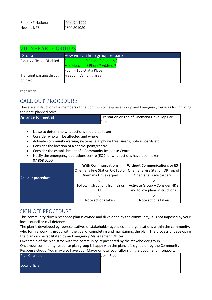| Radio NZ National | (04) 474 1999 |  |
|-------------------|---------------|--|
| Newstalk ZB       | 0800 801080   |  |

## VULNERABLE GROUPS

| <b>Group</b>                                   | How we can help group prepare    |
|------------------------------------------------|----------------------------------|
| Elderly / Sick or Disabled                     | Ronnie Jones ? Phone ? Address ? |
|                                                | Mrs Metcalfe ? Phone? Address?   |
|                                                | Robin - 106 Oratia Place         |
| Transient passing through Freedom Camping area |                                  |
| on road                                        |                                  |

Page Break

# CALL OUT PROCEDURE

These are instructions for members of the Community Response Group and Emergency Services for initiating their pre-planned roles

| <b>Arrange to meet at</b> | Fire station or Top of Onemana Drive Top Car |
|---------------------------|----------------------------------------------|
|                           | <b>I</b> Park                                |

- Liaise to determine what actions should be taken
- Consider who will be affected and where
- Activate community warning systems (e.g. phone tree, sirens, notice boards etc)
- Consider the location of a control point/centre
- Consider the establishment of a Community Response Centre
- Notify the emergency operations centre (EOC) of what actions have been taken 07 868 0200

|                    | <b>Without Communications or ES</b><br><b>With Communications</b> |                                                               |
|--------------------|-------------------------------------------------------------------|---------------------------------------------------------------|
| Call out procedure |                                                                   | Onemana Fire Station OR Top of Onemana Fire Station OR Top of |
|                    | Onemana Drive carpark                                             | Onemana Drive carpark                                         |
|                    |                                                                   |                                                               |
|                    | Follow instructions from ES or                                    | Activate Group - Consider H&S                                 |
|                    |                                                                   | and follow plan/ instructions                                 |
|                    |                                                                   |                                                               |
|                    | Note actions taken                                                | Note actions taken                                            |

## SIGN OFF PROCEDURE

This community-driven response plan is owned and developed by the community, it is not imposed by your local council or civil defence.

The plan is developed by representatives of stakeholder agencies and organisations within the community, who form a working group with the goal of completing and maintaining the plan. The process of developing the plan can be facilitated by an Emergency Management Officer.

Ownership of the plan stays with the community, represented by the stakeholder group.

Once your community response plan group is happy with the plan, it is signed off by the Community Response Group. You may also have your Mayor or local councillor sign the document in support.

| Plan Champion  | John Freer |
|----------------|------------|
| Local official |            |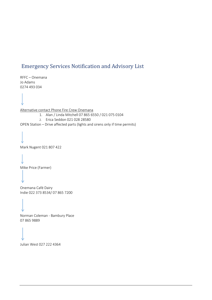# Emergency Services Notification and Advisory List

RFFC – Onemana Jo Adams 0274 493 034

Alternative contact Phone Fire Crew Onemana

- 1. Alan / Linda Mitchell 07 865 6550 / 021 075 0104
- 2. Erica Seddon 021 028 28580

OPEN Station – Drive affected parts (lights and sirens only if time permits)

Mark Nugent 021 807 422

Mike Price (Farmer)

Onemana Café Dairy Indie 022 373 8534/ 07 865 7200

Norman Coleman - Bambury Place 07 865 9889

Julian West 027 222 4364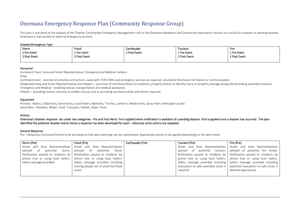# Onemana Emergency Response Plan (Community Response Group)

This plan is activated at the request of the Thames Coromandel Emergency Management Unit or the Onemana Residents and Community Association should, as a result of a disaster or pending disaster, Onemana is inaccessible to external emergency services.

#### Disaster/Emergency Type

| Storm        | Flood        | Earthquake   | Tsunami      | Fire         |
|--------------|--------------|--------------|--------------|--------------|
| 1 Pre Event  | 1 Pre Event  | 1 Post Event | 1 Pre Event  | 1 Pre Event  |
| 2 Post Event | 2 Post Event |              | 2 Post Event | 2 Post Event |
|              |              |              |              |              |

Personnel<br>Command Team, Area and Street Representative, Emergency and Medical, Helpers

Roles

Command team - oversee all activities and actions. Liaise with TCDC EMU and emergency services as required. Located at Onemana Fire Station or Central location.

Designated Area and Street Representatives and Helpers – provision of communications to residents, property checks to identify injury or property damage along with providing assembly locations. Emergency and Medical – enabling rescue, transportation and medical assistance.

Helpers – providing human resource to enable rescues and or providing assistance when and where required.

Equipment<br>Primary - Radios, Cellphones, Generators, Loud Hailers, Batteries, Torches, Lanterns, Medical Kits, Spray Paint, Helicopter access Secondary – Blankets, Water, Food, Transport, Shelter, Rope, Tents

Actions<br>Onemana's disaster response sits under two categories - Pre and Post Alerts. Pre is applied when notification is available of a pending disaster. Post is applied once a disaster has occurred . The plan identified the potential disaster events hence a response has been developed for each – obviously some actions are repeated.

#### General Response

Pre- Temporary Command Centre to be activated so that alert warnings can be coordinated. Appropriate action to be applied depending on the alert event.

| Storm (Pre)                            | Flood (Pre)                                                               | Earthquake (Pre) | Tsunami (Pre) | Fire (Pre)                                                                        |
|----------------------------------------|---------------------------------------------------------------------------|------------------|---------------|-----------------------------------------------------------------------------------|
| Street and<br>Area Representatives     | Street and Area Representatives                                           |                  |               | Street and Area Representatives Street and Area Representatives                   |
| of<br>advised<br>potential<br>storm. I | advised of<br>flood.<br>potential                                         |                  | advised of    | potential tsunami. advised of potential fire threat.                              |
|                                        | Notification passed to residents by   Notification passed to residents by |                  |               | Notification passed to residents by   Notification passed to residents by         |
| phone tree or using loud hailers.      | phone tree or using loud hailers.                                         |                  |               | phone tree or using loud hailers. phone tree or using loud hailers.               |
| Safety message provided.               | Safety message provided including                                         |                  |               | Safety message provided including Safety message provided including               |
|                                        | moving people out of potential flood                                      |                  |               | evacuation to safe assembly zones if $\mid$ potential evacuation to safe zones if |
|                                        | zones.                                                                    |                  | required.     | deemed appropriate.                                                               |
|                                        |                                                                           |                  |               |                                                                                   |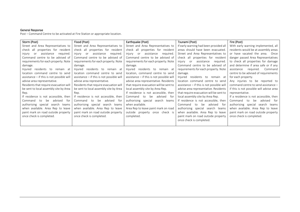### General Response

Post – Command Centre to be activated at Fire Station or appropriate location.

| Storm (Post)                              | Flood (Post)                              | Earthquake (Post)                              | Tsunami (Post)                                 | Fire (Post)                              |
|-------------------------------------------|-------------------------------------------|------------------------------------------------|------------------------------------------------|------------------------------------------|
| Street and Area Representatives to        | Street and Area Representatives to        | Street and Area Representatives to             | If early warning had been provided all         | With early warning implemented, all      |
| all<br>check<br>properties for resident   | check all properties for resident         | check all properties for resident              | areas should have been evacuated.              | residents would be at assembly areas     |
| assistance<br>required.<br>injury<br>or   | assistance<br>required.<br>injury<br>or   | injury<br>assistance<br>reguired.<br><b>or</b> | Street and Area Representatives to             | or have vacated the area.<br>Once        |
| Command centre to be advised of           | Command centre to be advised of           | Command centre to be advised of                | check all properties for resident              | danger passed Area Representatives       |
| requirements for each property. Note      | requirements for each property. Note      | requirements for each property. Note           | assistance<br>injury<br><b>or</b><br>reguired. | to check all properties for damage       |
| damage.                                   | damage.                                   | damage.                                        | Command centre to be advised of                | and determine if area safe or if any     |
| residents to<br>Injured<br>remain at      | residents to remain at<br>Injured         | residents to remain at<br>Injured              | requirements for each property. Note           | reguired.<br>Command<br>assistance       |
| location command centre to send           | location command centre to send           | location, command centre to send               | damage.                                        | centre to be advised of requirements     |
| assistance - if this is not possible will | assistance - if this is not possible will | assistance - if this is not possible will      | Injured residents to remain at                 | for each property.                       |
| advise area representative.               | advise area representative.               | advise area representative. Residents          | location command centre to send                | Any injuries to be reported to           |
| Residents that require evacuation will    | Residents that require evacuation will    | that require evacuation will be sent to        | assistance - if this is not possible will      | command centre to send assistance -      |
| be sent to local assembly site by Area    | be sent to local assembly site by Area    | local assembly site by Area Rep.               | advise area representative. Residents          | if this is not possible will advise area |
| Rep.                                      | Rep.                                      | If residence is not accessible, then           | that require evacuation will be sent to        | representative.                          |
| If residence is not accessible, then      | If residence is not accessible, then      | advised<br>Command<br>to<br>be<br>for          | local assembly site by Area Rep.               | If a residence is not accessible, then   |
| advised<br>for<br>Command<br>be<br>to     | advised<br>Command<br>to<br>be<br>tor     | authorising special<br>search teams            | If residence is not accessible, then           | be<br>Command<br>advised<br>for f<br>to  |
| authorising special<br>search teams       | authorising special<br>search teams       | when available.                                | be<br>Command<br>to<br>advised<br>for          | authorising special search<br>teams      |
| when available. Area Rep to leave         | when available. Area Rep to leave         | Area Rep to leave paint mark on road           | authorising special search teams               | when available. Area Rep to leave        |
| paint mark on road outside property       | paint mark on road outside property       | outside property once check is                 | when available. Area Rep to leave              | paint mark on road outside property      |
| once check is completed.                  | once check is completed.                  | completed.                                     | paint mark on road outside property            | once check is completed.                 |
|                                           |                                           |                                                | once check is completed.                       |                                          |
|                                           |                                           |                                                |                                                |                                          |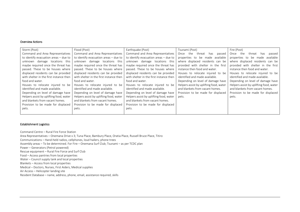#### Overview Actions

| Storm (Post)                            | Flood (Post)                            | Earthquake (Post)                       | Tsunami (Post)                          | Fire (Post)                             |
|-----------------------------------------|-----------------------------------------|-----------------------------------------|-----------------------------------------|-----------------------------------------|
| Command and Area Representatives        | Command and Area Representatives        | Command and Area Representatives        | the<br>threat<br>Once<br>has<br>passed  | the<br>Once<br>has<br>passed<br>threat  |
| to identify evacuation areas - due to   | to identify evacuation areas - due to   | to identify evacuation areas - due to   | properties to be made available         | properties to be made available         |
| unknown damage locations this           | unknown damage locations this           | unknown damage locations this           | where displaced residents can be        | where displaced residents can be        |
| maybe required once the threat has      | maybe required once the threat has      | maybe required once the threat has      | provided with shelter in the first      | provided with shelter in the first      |
| passed. These to be houses where        | passed. These to be houses where        | passed. These to be houses where        | instance then food and water.           | instance then food and water.           |
| displaced residents can be provided     | displaced residents can be provided     | displaced residents can be provided     | Houses to relocate injured to be        | Houses to relocate injured to be        |
| with shelter in the first instance then | with shelter in the first instance then | with shelter in the first instance then | identified and made available.          | identified and made available.          |
| food and water.                         | food and water.                         | food and water.                         | Depending on level of damage have       | Depending on level of damage have       |
| Houses to relocate injured to be        | Houses to relocate injured to be        | Houses to relocate injured to be        | Helpers assist by uplifting food, water | Helpers assist by uplifting food, water |
| identified and made available.          | identified and made available.          | identified and made available.          | and blankets from vacant homes.         | and blankets from vacant homes.         |
| Depending on level of damage have       | Depending on level of damage have       | Depending on level of damage have       | Provision to be made for displaced      | Provision to be made for displaced      |
| Helpers assist by uplifting food, water | Helpers assist by uplifting food, water | Helpers assist by uplifting food, water | pets.                                   | pets.                                   |
| and blankets from vacant homes.         | and blankets from vacant homes.         | and blankets from vacant homes.         |                                         |                                         |
| Provision to be made for displaced      | Provision to be made for displaced      | Provision to be made for displaced      |                                         |                                         |
| pets.                                   | pets.                                   | pets.                                   |                                         |                                         |
|                                         |                                         |                                         |                                         |                                         |

#### Establishment Logistics

Command Centre – Rural Fire Force Station Area Representatives – Onemana Drive x 3; Tuna Place, Bambury Place, Oratia Place, Russell Bruce Place, Titiro Communications – Hand-held radios, cellphones, loud hailers, phone trees Assembly areas – To be determined. For Fire – Onemana Surf Club; Tsunami – as per TCDC plan Power – Generators (Petrol powered) Rescue equipment – Rural Fire Force and Surf Club Food – Access pantries from local properties Water – Council supply tank and local properties Blankets – Access from local properties Medical – Doctors, Nurses, First Aiders, Medical supplies Air Access – Helicopter landing site Resident Database – name, address, phone, email, assistance required, skills